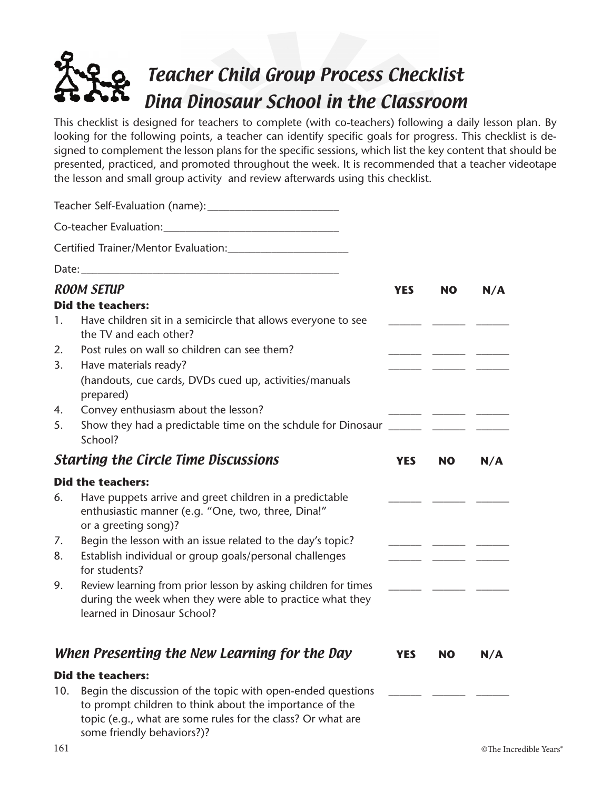## Teacher Child Group Process Checklist Dina Dinosaur School in the Classroom

This checklist is designed for teachers to complete (with co-teachers) following a daily lesson plan. By looking for the following points, a teacher can identify specific goals for progress. This checklist is designed to complement the lesson plans for the specific sessions, which list the key content that should be presented, practiced, and promoted throughout the week. It is recommended that a teacher videotape the lesson and small group activity and review afterwards using this checklist.

| 1.                   | <b>ROOM SETUP</b><br><b>Did the teachers:</b><br>Have children sit in a semicircle that allows everyone to see                                                                                                                                                                                                                                                                                                                                                            | <b>YES</b> | <b>NO</b> | N/A |
|----------------------|---------------------------------------------------------------------------------------------------------------------------------------------------------------------------------------------------------------------------------------------------------------------------------------------------------------------------------------------------------------------------------------------------------------------------------------------------------------------------|------------|-----------|-----|
| 2.<br>3.             | the TV and each other?<br>Post rules on wall so children can see them?<br>Have materials ready?<br>(handouts, cue cards, DVDs cued up, activities/manuals<br>prepared)                                                                                                                                                                                                                                                                                                    |            |           |     |
| 4.<br>5.             | Convey enthusiasm about the lesson?<br>School?                                                                                                                                                                                                                                                                                                                                                                                                                            |            |           |     |
|                      | <b>Starting the Circle Time Discussions</b>                                                                                                                                                                                                                                                                                                                                                                                                                               | <b>YES</b> | <b>NO</b> | N/A |
| 6.<br>7.<br>8.<br>9. | <b>Did the teachers:</b><br>Have puppets arrive and greet children in a predictable<br>enthusiastic manner (e.g. "One, two, three, Dina!"<br>or a greeting song)?<br>Begin the lesson with an issue related to the day's topic?<br>Establish individual or group goals/personal challenges<br>for students?<br>Review learning from prior lesson by asking children for times<br>during the week when they were able to practice what they<br>learned in Dinosaur School? |            |           |     |
|                      | When Presenting the New Learning for the Day                                                                                                                                                                                                                                                                                                                                                                                                                              | <b>YES</b> | <b>NO</b> | N/A |
| 10.                  | <b>Did the teachers:</b><br>Begin the discussion of the topic with open-ended questions<br>to prompt children to think about the importance of the<br>topic (e.g., what are some rules for the class? Or what are<br>some friendly behaviors?)?                                                                                                                                                                                                                           |            |           |     |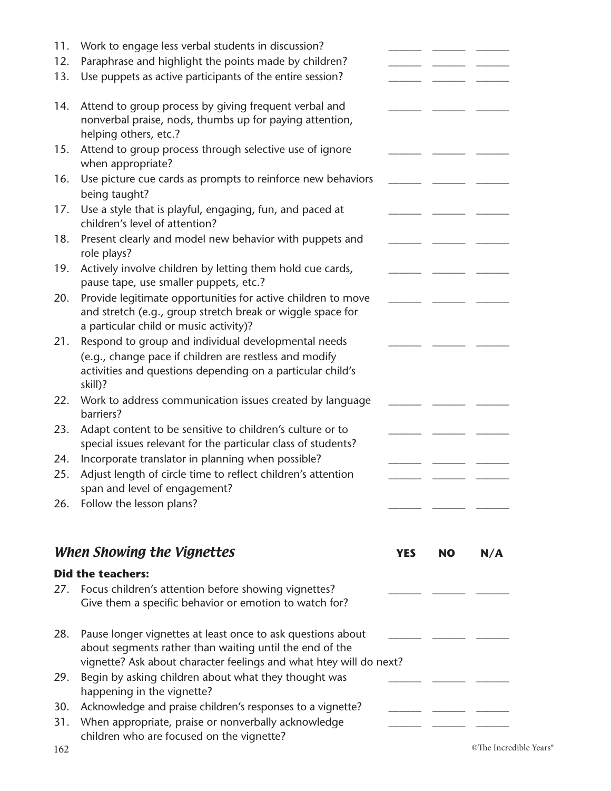| 11.        | Work to engage less verbal students in discussion?                                                                                                                                           |            |           |     |
|------------|----------------------------------------------------------------------------------------------------------------------------------------------------------------------------------------------|------------|-----------|-----|
| 12.        | Paraphrase and highlight the points made by children?                                                                                                                                        |            |           |     |
| 13.        | Use puppets as active participants of the entire session?                                                                                                                                    |            |           |     |
| 14.        | Attend to group process by giving frequent verbal and<br>nonverbal praise, nods, thumbs up for paying attention,<br>helping others, etc.?                                                    |            |           |     |
| 15.        | Attend to group process through selective use of ignore<br>when appropriate?                                                                                                                 |            |           |     |
| 16.        | Use picture cue cards as prompts to reinforce new behaviors<br>being taught?                                                                                                                 |            |           |     |
| 17.        | Use a style that is playful, engaging, fun, and paced at<br>children's level of attention?                                                                                                   |            |           |     |
| 18.        | Present clearly and model new behavior with puppets and<br>role plays?                                                                                                                       |            |           |     |
| 19.        | Actively involve children by letting them hold cue cards,<br>pause tape, use smaller puppets, etc.?                                                                                          |            |           |     |
| 20.        | Provide legitimate opportunities for active children to move<br>and stretch (e.g., group stretch break or wiggle space for<br>a particular child or music activity)?                         |            |           |     |
| 21.        | Respond to group and individual developmental needs<br>(e.g., change pace if children are restless and modify<br>activities and questions depending on a particular child's<br>skill)?       |            |           |     |
| 22.        | Work to address communication issues created by language<br>barriers?                                                                                                                        |            |           |     |
| 23.        | Adapt content to be sensitive to children's culture or to<br>special issues relevant for the particular class of students?                                                                   |            |           |     |
| 24.<br>25. | Incorporate translator in planning when possible?<br>Adjust length of circle time to reflect children's attention<br>span and level of engagement?                                           |            |           |     |
| 26.        | Follow the lesson plans?                                                                                                                                                                     |            |           |     |
|            | When Showing the Vignettes                                                                                                                                                                   | <b>YES</b> | <b>NO</b> | N/A |
|            | <b>Did the teachers:</b>                                                                                                                                                                     |            |           |     |
| 27.        | Focus children's attention before showing vignettes?<br>Give them a specific behavior or emotion to watch for?                                                                               |            |           |     |
| 28.        | Pause longer vignettes at least once to ask questions about<br>about segments rather than waiting until the end of the<br>vignette? Ask about character feelings and what htey will do next? |            |           |     |
| 29.        | Begin by asking children about what they thought was<br>happening in the vignette?                                                                                                           |            |           |     |
| 30.        | Acknowledge and praise children's responses to a vignette?                                                                                                                                   |            |           |     |
| 31.        | When appropriate, praise or nonverbally acknowledge<br>children who are focused on the vignette?                                                                                             |            |           |     |

162 ©The Incredible Years®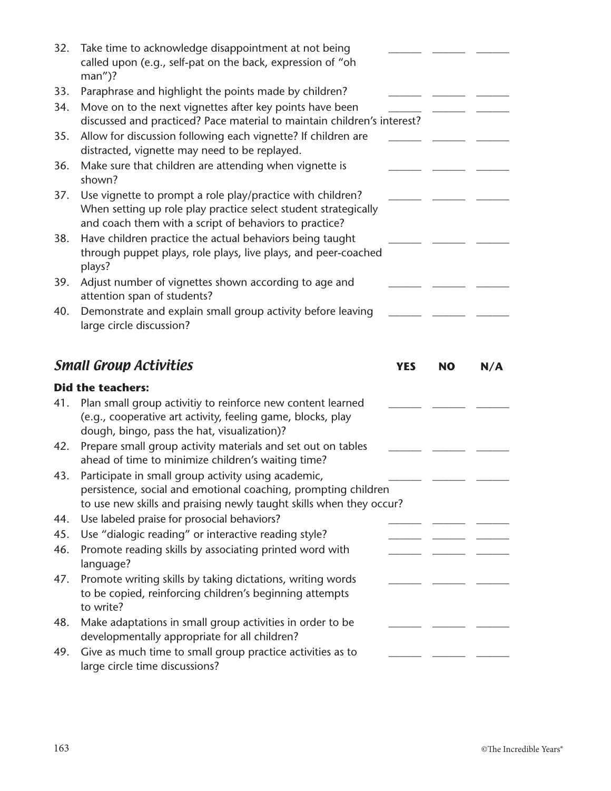| 32.        | Take time to acknowledge disappointment at not being<br>called upon (e.g., self-pat on the back, expression of "oh<br>$man'$ )?                                                              |            |           |     |
|------------|----------------------------------------------------------------------------------------------------------------------------------------------------------------------------------------------|------------|-----------|-----|
| 33.        | Paraphrase and highlight the points made by children?                                                                                                                                        |            |           |     |
| 34.        | Move on to the next vignettes after key points have been<br>discussed and practiced? Pace material to maintain children's interest?                                                          |            |           |     |
| 35.        | Allow for discussion following each vignette? If children are<br>distracted, vignette may need to be replayed.                                                                               |            |           |     |
| 36.        | Make sure that children are attending when vignette is<br>shown?                                                                                                                             |            |           |     |
| 37.        | Use vignette to prompt a role play/practice with children?<br>When setting up role play practice select student strategically<br>and coach them with a script of behaviors to practice?      |            |           |     |
| 38.        | Have children practice the actual behaviors being taught<br>through puppet plays, role plays, live plays, and peer-coached<br>plays?                                                         |            |           |     |
| 39.        | Adjust number of vignettes shown according to age and<br>attention span of students?                                                                                                         |            |           |     |
| 40.        | Demonstrate and explain small group activity before leaving<br>large circle discussion?                                                                                                      |            |           |     |
|            | <b>Small Group Activities</b>                                                                                                                                                                | <b>YES</b> | <b>NO</b> | N/A |
|            | <b>Did the teachers:</b>                                                                                                                                                                     |            |           |     |
| 41.        |                                                                                                                                                                                              |            |           |     |
|            | Plan small group activitiy to reinforce new content learned<br>(e.g., cooperative art activity, feeling game, blocks, play                                                                   |            |           |     |
| 42.        | dough, bingo, pass the hat, visualization)?<br>Prepare small group activity materials and set out on tables<br>ahead of time to minimize children's waiting time?                            |            |           |     |
| 43.        | Participate in small group activity using academic,<br>persistence, social and emotional coaching, prompting children<br>to use new skills and praising newly taught skills when they occur? |            |           |     |
| 44.        | Use labeled praise for prosocial behaviors?                                                                                                                                                  |            |           |     |
| 45.<br>46. | Use "dialogic reading" or interactive reading style?<br>Promote reading skills by associating printed word with                                                                              |            |           |     |
| 47.        | language?<br>Promote writing skills by taking dictations, writing words<br>to be copied, reinforcing children's beginning attempts<br>to write?                                              |            |           |     |
| 48.        | Make adaptations in small group activities in order to be<br>developmentally appropriate for all children?                                                                                   |            |           |     |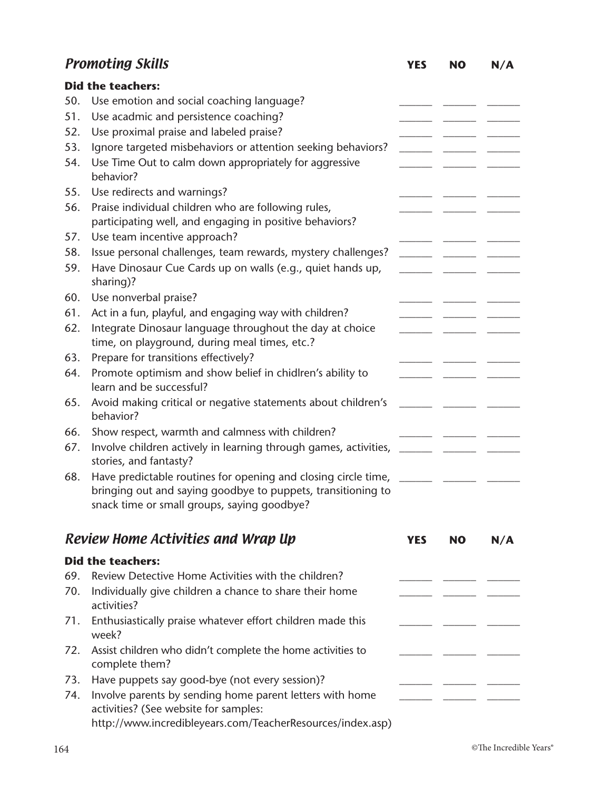|     | <b>Promoting Skills</b>                                                                                                                                                       | <b>YES</b> | <b>NO</b> | N/A |
|-----|-------------------------------------------------------------------------------------------------------------------------------------------------------------------------------|------------|-----------|-----|
|     | <b>Did the teachers:</b>                                                                                                                                                      |            |           |     |
| 50. | Use emotion and social coaching language?                                                                                                                                     |            |           |     |
| 51. | Use acadmic and persistence coaching?                                                                                                                                         |            |           |     |
| 52. | Use proximal praise and labeled praise?                                                                                                                                       |            |           |     |
| 53. | Ignore targeted misbehaviors or attention seeking behaviors?                                                                                                                  |            |           |     |
| 54. | Use Time Out to calm down appropriately for aggressive<br>behavior?                                                                                                           |            |           |     |
| 55. | Use redirects and warnings?                                                                                                                                                   |            |           |     |
| 56. | Praise individual children who are following rules,<br>participating well, and engaging in positive behaviors?                                                                |            |           |     |
| 57. | Use team incentive approach?                                                                                                                                                  |            |           |     |
| 58. | Issue personal challenges, team rewards, mystery challenges?                                                                                                                  |            |           |     |
| 59. | Have Dinosaur Cue Cards up on walls (e.g., quiet hands up,<br>sharing)?                                                                                                       |            |           |     |
| 60. | Use nonverbal praise?                                                                                                                                                         |            |           |     |
| 61. | Act in a fun, playful, and engaging way with children?                                                                                                                        |            |           |     |
| 62. | Integrate Dinosaur language throughout the day at choice<br>time, on playground, during meal times, etc.?                                                                     |            |           |     |
| 63. | Prepare for transitions effectively?                                                                                                                                          |            |           |     |
| 64. | Promote optimism and show belief in chidlren's ability to<br>learn and be successful?                                                                                         |            |           |     |
| 65. | Avoid making critical or negative statements about children's<br>behavior?                                                                                                    |            |           |     |
| 66. | Show respect, warmth and calmness with children?                                                                                                                              |            |           |     |
| 67. | Involve children actively in learning through games, activities,<br>stories, and fantasty?                                                                                    |            |           |     |
| 68. | Have predictable routines for opening and closing circle time,<br>bringing out and saying goodbye to puppets, transitioning to<br>snack time or small groups, saying goodbye? |            |           |     |
|     | Review Home Activities and Wrap Up                                                                                                                                            | <b>YES</b> | <b>NO</b> | N/A |
|     | <b>Did the teachers:</b>                                                                                                                                                      |            |           |     |
| 69. | Review Detective Home Activities with the children?                                                                                                                           |            |           |     |
| 70. | Individually give children a chance to share their home<br>activities?                                                                                                        |            |           |     |
| 71. | Enthusiastically praise whatever effort children made this<br>week?                                                                                                           |            |           |     |
| 72. | Assist children who didn't complete the home activities to<br>complete them?                                                                                                  |            |           |     |
| 73. | Have puppets say good-bye (not every session)?                                                                                                                                |            |           |     |
| 74. | Involve parents by sending home parent letters with home<br>activities? (See website for samples:                                                                             |            |           |     |
|     | http://www.incredibleyears.com/TeacherResources/index.asp)                                                                                                                    |            |           |     |